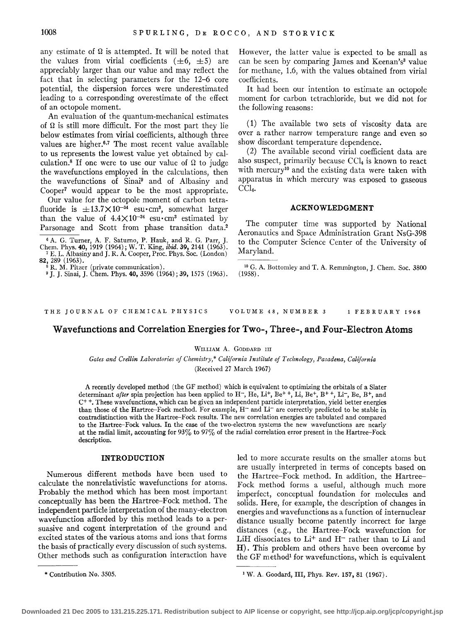any estimate of  $\Omega$  is attempted. It will be noted that the values from virial coefficients  $(\pm 6, \pm 5)$  are appreciably larger than our value and may reflect the fact that in selecting parameters for the 12-6 core potential, the dispersion forces were underestimated leading to a corresponding overestimate of the effect of an octopole moment.

An evaluation of the quantum-mechanical estimates of  $\Omega$  is still more difficult. For the most part they lie below estimates from virial coefficients, although three values are higher.6• 7 The most recent value available to us represents the lowest value yet obtained by calculation.<sup>8</sup> If one were to use our value of  $\Omega$  to judge the wavefunctions employed in the calculations, then the wavefunctions of Sinai9 and of Albasiny and Cooper7 would appear to be the most appropriate.

Our value for the octopole moment of carbon tetrafluoride is  $\pm 13.7 \times 10^{-34}$  esu $\cdot$ cm<sup>3</sup>, somewhat larger than the value of  $4.4 \times 10^{-34}$  esu $\cdot$ cm<sup>3</sup> estimated by Parsonage and Scott from phase transition data.<sup>2</sup>

6 A. G. Turner, A. F. Saturno, P. Hauk, and R. G. Parr, J. Chem. Phys. **40,** 1919 (1964); W. T. King, *ibid.* **39,** 2141 (1963). <sup>7</sup> E. L. Albasiny and J. R. A. Cooper, Proc. Phys. Soc. (London)

82, 289 (1963). 8 R. M. Pitzer (private communication).<br>
<sup>8</sup> R. M. Pitzer (private communication).<br>
<sup>9</sup> I. J. Sinai, J. Chem. Phys. 40, 3596 (1964); 39, 1575 (1963).

However, the latter value is expected to be small as can be seen by comparing James and Keenan's<sup>3</sup> value for methane, 1.6, with the values obtained from virial coefficients.

It had been our intention to estimate an octopole moment for carbon tetrachloride, but we did not for the following reasons:

( 1) The available two sets of viscosity data are over a rather narrow temperature range and even so show discordant temperature dependence.

(2) The available second virial coefficient data are also suspect, primarily because  $CCL<sub>4</sub>$  is known to react with mercury<sup>10</sup> and the existing data were taken with apparatus in which mercury was exposed to gaseous  $CCl<sub>4</sub>$ .

## **ACKNOWLEDGMENT**

The computer time was supported by National Aeronautics and Space Administration Grant NsG-398 to the Computer Science Center of the University of Maryland.

<sup>10</sup> G. A. Bottomley and T. A. Remmington, J. Chem. Soc. 3800 (1958).

THE JOURNAL OF CHEMICAL PHYSICS

VOLUME 48, NUMBER 3 1 FEBRUARY 1968

# **Wavefunctions and Correlation Energies for Two-, Three-, and Four-Electron Atoms**

## WILLIAM A. GODDARD III

*Gates and Crellin Laboratories of Chemistry,\* California Institute of Technology, Pasadena, California* 

(Received 27 March 1967)

A recently developed method (the GF method) which is equivalent to optimizing the orbitals of a Slater determinant *after* spin projection has been applied to H<sup>-</sup>, He, Li<sup>+</sup>, Be<sup>++</sup>, Li, Be<sup>+</sup>, B<sup>+</sup>+, Li<sup>-</sup>, Be, B<sup>+</sup>, and  $C^+$ . These wavefunctions, which can be given an independent particle interpretation, yield better energies than those of the Hartree-Fock method. For example, H<sup>-</sup> and Li<sup>-</sup> are correctly predicted to be stable in contradistinction with the Hartree-Fock results. The new correlation energies are tabulated and compared to the Hartree-Fock values. In the case of the two-electron systems the new wavefunctions are nearly at the radial limit, accounting for 93% to 97% of the radial correlation error present in the Hartree-Fock description.

#### **INTRODUCTION**

Numerous different methods have been used to calculate the nonrelativistic wavefunctions for atoms. Probably the method which has been most important conceptually has been the Hartree-Fock method. The independent particle interpretation of the many-electron wavefunction afforded by this method leads to a persuasive and cogent interpretation of the ground and excited states of the various atoms and ions that forms the basis of practically every discussion of such systems. Other methods such as configuration interaction have

led to more accurate results on the smaller atoms but are usually interpreted in terms of concepts based on the Hartree-Fock method. In addition, the Hartree-Fock method forms a useful, although much more imperfect, conceptual foundation for molecules and solids. Here, for example, the description of changes in energies and wavefunctions as a function of internuclear distance usually become patently incorrect for large distances (e.g., the Hartree-Fock wavefunction for LiH dissociates to Li<sup>+</sup> and H<sup>-</sup> rather than to Li and H). This problem and others have been overcome by the GF method<sup>1</sup> for wavefunctions, which is equivalent

<sup>\*</sup> Contribution No. 3505.

<sup>&</sup>lt;sup>1</sup> W. A. Goodard, III, Phys. Rev. 157, 81 (1967).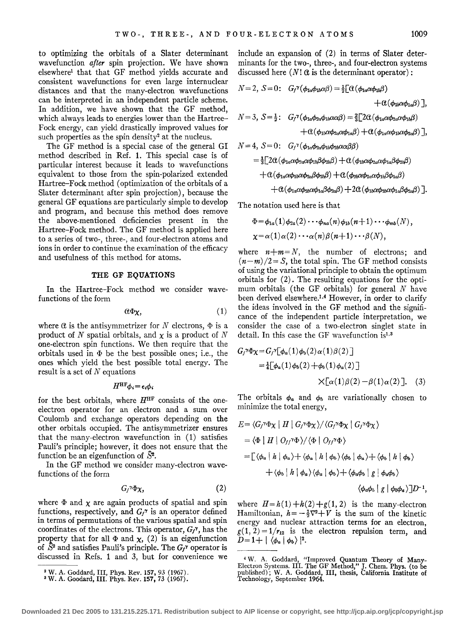to optimizing the orbitals of a Slater determinant wavefunction *after* spin projection. We have shown elsewhere1 that that GF method yields accurate and consistent wavefunctions for even large internuclear distances and that the many-electron wavefunctions can be interpreted in an independent particle scheme. In addition, we have shown that the GF method, which always leads to energies lower than the Hartree-Fock energy, can yield drastically improved values for such properties as the spin density<sup>2</sup> at the nucleus.

The GF method is a special case of the general GI method described in Ref. **1.** This special case is of particular interest because it leads to wavefunctions equivalent to those from the spin-polarized extended Hartree-Fock method (optimization of the orbitals of a Slater determinant after spin projection), because the general GF equations are particularly simple to develop and program, and because this method does remove the above-mentioned deficiencies present in the Hartree-Fock method. The GF method is applied here to a series of two-, three-, and four-electron atoms and ions in order to continue the examination of the efficacy and usefulness of this method for atoms.

## **THE GF EQUATIONS**

In the Hartree-Fock method we consider wavefunctions of the form

$$
\alpha \Phi_{\chi}, \qquad \qquad (1)
$$

where  $\alpha$  is the antisymmetrizer for N electrons,  $\Phi$  is a product of N spatial orbitals, and  $\chi$  is a product of N one-electron spin functions. We then require that the orbitals used in  $\Phi$  be the best possible ones; i.e., the ones which yield the best possible total energy. The result is a set of  $N$  equations

$$
H^{\rm HF} \phi_i = \epsilon_i \phi_i
$$

for the best orbitals, where  $H^{\text{HF}}$  consists of the oneelectron operator for an electron and a sum over Coulomb and exchange operators depending on the other orbitals occupied. The antisymmetrizer ensures that the many-electron wavefunction in (1) satisfies Pauli's principle; however, it does not ensure that the function be an eigenfunction of  $S<sup>2</sup>$ .

In the GF method we consider many-electron wavefunctions of the form

$$
G_f^{\gamma}\Phi\chi,\qquad \qquad (2)
$$

where  $\Phi$  and  $\chi$  are again products of spatial and spin functions, respectively, and  $G_f^{\gamma}$  is an operator defined in terms of permutations of the various spatial and spin coordinates of the electrons. This operator,  $G_f^{\gamma}$ , has the property that for all  $\Phi$  and  $\chi$ , (2) is an eigenfunction of  $\bar{S}^2$  and satisfies Pauli's principle. The  $G_f^{\gamma}$  operator is discussed in Refs. 1 and 3, but for convenience we

include an expansion of (2) in terms of Slater determinants for the two-, three-, and four-electron systems discussed here  $(N! \alpha$  is the determinant operator):

$$
N=2, S=0: G_f^{\gamma}(\phi_{1a}\phi_{1b}\alpha\beta) = \frac{1}{2} [\alpha(\phi_{1a}\alpha\phi_{1b}\beta) + \alpha(\phi_{1b}\alpha\phi_{1a}\beta)]
$$
  
+  $\alpha(\phi_{1b}\alpha\phi_{1a}\beta)]$ ,  

$$
N=3, S=\frac{1}{2}: G_f^{\gamma}(\phi_{1a}\phi_{2a}\phi_{1b}\alpha\alpha\beta) = \frac{2}{3} [2\alpha(\phi_{1a}\alpha\phi_{2a}\alpha\phi_{1b}\beta) + \alpha(\phi_{1a}\alpha\phi_{2a}\alpha\phi_{1b}\beta) + \alpha(\phi_{1a}\alpha\phi_{2a}\alpha\phi_{1a}\beta)]
$$
  

$$
N=4, S=0: G_f^{\gamma}(\phi_{1a}\phi_{2a}\phi_{1b}\phi_{2b}\alpha\alpha\beta\beta)
$$

$$
= \frac{1}{3} [2\alpha (\phi_{1a} \alpha \phi_{2a} \alpha \phi_{1b} \beta \phi_{2b} \beta) + \alpha (\phi_{1b} \alpha \phi_{2a} \alpha \phi_{1a} \beta \phi_{2b} \beta)
$$

$$
+ \alpha (\phi_{1a} \alpha \phi_{1b} \alpha \phi_{2a} \beta \phi_{2b} \beta) + \alpha (\phi_{2b} \alpha \phi_{2a} \alpha \phi_{1b} \beta \phi_{1a} \beta)
$$

$$
+ \alpha (\phi_{1a} \alpha \phi_{2b} \alpha \phi_{2a} \beta \phi_{2a} \beta) + 2\alpha (\phi_{1b} \alpha \phi_{2b} \alpha \phi_{1a} \beta \phi_{2a} \beta)].
$$

The notation used here is that

$$
\Phi = \phi_{1a}(1)\phi_{2a}(2)\cdots\phi_{na}(n)\phi_{1b}(n+1)\cdots\phi_{mb}(N),
$$
  

$$
\chi = \alpha(1)\alpha(2)\cdots\alpha(n)\beta(n+1)\cdots\beta(N),
$$

where  $n+m=N$ , the number of electrons; and  $(n-m)/2 = S$ , the total spin. The GF method consists of using the variational principle to obtain the optimum orbitals for (2). The resulting equations for the optimum orbitals (the GF orbitals) for general  $N$  have been derived elsewhere.1• 4 However, in order to clarify the ideas involved in the GF method and the significance of the independent particle interpretation, we consider the case of a two-electron singlet state in detail. In this case the GF wavefunction is<sup>1,3</sup>

$$
G_f^{\gamma}\Phi \chi = G_f^{\gamma}[\phi_a(1)\phi_b(2)\alpha(1)\beta(2)]
$$
  
=  $\frac{1}{4}[\phi_a(1)\phi_b(2) + \phi_b(1)\phi_a(2)]$   
 $\times[\alpha(1)\beta(2) - \beta(1)\alpha(2)].$  (3)

The orbitals  $\phi_a$  and  $\phi_b$  are variationally chosen to minimize the total energy,

$$
E = \langle G_f^{\gamma} \Phi \chi \mid H \mid G_f^{\gamma} \Phi \chi \rangle / \langle G_f^{\gamma} \Phi \chi \mid G_f^{\gamma} \Phi \chi \rangle
$$
  
\n
$$
= \langle \Phi \mid H \mid O_{ff}^{\gamma} \Phi \rangle / \langle \Phi \mid O_{ff}^{\gamma} \Phi \rangle
$$
  
\n
$$
= \left[ \langle \phi_a \mid h \mid \phi_a \rangle + \langle \phi_a \mid h \mid \phi_b \rangle \langle \phi_b \mid \phi_a \rangle + \langle \phi_b \mid h \mid \phi_b \rangle \right.
$$
  
\n
$$
+ \langle \phi_b \mid h \mid \phi_a \rangle \langle \phi_a \mid \phi_b \rangle + \langle \phi_a \phi_b \mid g \mid \phi_a \phi_b \rangle
$$
  
\n
$$
\langle \phi_a \phi_b \mid g \mid \phi_b \phi_a \rangle \right] D^{-1},
$$

where  $H=h(1)+h(2)+g(1, 2)$  is the many-electron Hamiltonian,  $h = -\frac{1}{2}\nabla^2 + V$  is the sum of the kinetic energy and nuclear attraction terms for an electron,  $g(1, 2)=1/r_{12}$  is the electron repulsion term, and  $D=1+|\langle\phi_a|\phi_b\rangle|^2.$ 

<sup>2</sup> W. A. Goddard, III, Phys. Rev. 157,93 (1967). 3 W. A. Goodard, III. Phys. Rev. 157, 73 (1967).

<sup>4</sup> W. A. Goddard, "Improved Quantum Theory of Many-Electron Systems. III. The GF Method," J. Chern. Phys. (to be published); W. A. Goddard, III, thesis, California Institute of Technology, September 1964.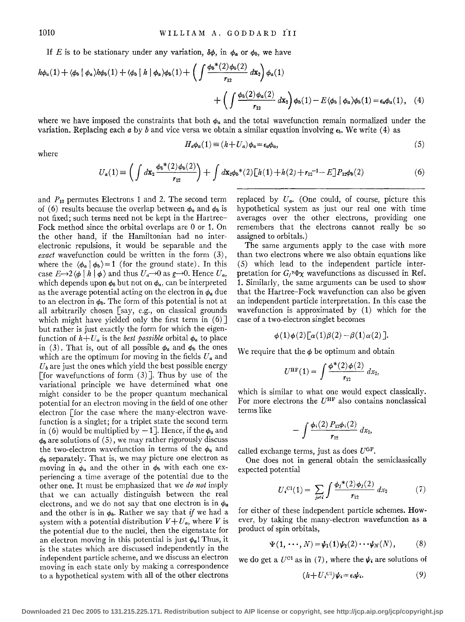If *E* is to be stationary under any variation,  $\delta\phi$ , in  $\phi_a$  or  $\phi_b$ , we have

$$
h\phi_a(1) + \langle \phi_b | \phi_a \rangle h\phi_b(1) + \langle \phi_b | h | \phi_a \rangle \phi_b(1) + \left( \int \frac{\phi_b^*(2)\phi_b(2)}{r_{12}} dx_2 \right) \phi_a(1) + \left( \int \frac{\phi_b(2)\phi_a(2)}{r_{12}} dx_2 \right) \phi_b(1) - E \langle \phi_b | \phi_a \rangle \phi_b(1) = \epsilon_a \phi_a(1), \quad (4)
$$

where we have imposed the constraints that both  $\phi_a$  and the total wavefunction remain normalized under the variation. Replacing each *a* by *b* and vice versa we obtain a similar equation involving  $\epsilon_b$ . We write (4) as

$$
H_a\phi_a(1) \equiv (h + U_a)\phi_a = \epsilon_a\phi_a,\tag{5}
$$

where

$$
U_a(1) = \left(\int d\mathbf{x}_2 \frac{\phi_b{}^*(2)\phi_b(2)}{r_{12}}\right) + \int d\mathbf{x}_2 \phi_b{}^*(2)\left[h(1) + h(2) + r_{12}\right] - E\left[P_{12}\phi_b(2)\right] \tag{6}
$$

and  $P_{12}$  permutes Electrons 1 and 2. The second term of (6) results because the overlap between  $\phi_a$  and  $\phi_b$  is not fixed; such terms need not be kept in the Hartree-Fock method since the orbital overlaps are 0 or 1. On the other hand, if the Hamiltonian had no interelectronic repulsions, it would be separable and the *exact* wavefunction could be written in the form (3), where the  $\langle \phi_a | \phi_b \rangle = 1$  (for the ground state). In this case  $E\rightarrow 2 \langle \phi \mid h \mid \phi \rangle$  and thus  $U_a\rightarrow 0$  as  $g\rightarrow 0$ . Hence  $U_a$ , which depends upon  $\phi_b$  but not on  $\phi_a$ , can be interpreted as the average potential acting on the electron in  $\phi_a$  due to an electron in  $\phi_h$ . The form of this potential is not at all arbitrarily chosen [say, e.g., on classical grounds which might have yielded only the first term in  $(6)$ ] but rather is just exactly the form for which the eigenfunction of  $h+U_a$  is the *best possible* orbital  $\phi_a$  to place in (3). That is, out of all possible  $\phi_a$  and  $\phi_b$  the ones which are the optimum for moving in the fields  $U_a$  and  $U<sub>b</sub>$  are just the ones which yield the best possible energy [for wavefunctions of form  $(3)$ ]. Thus by use of the variational principle we have determined what one might consider to be the proper quantum mechanical potential for an electron moving in the field of one other electron [for the case where the many-electron wavefunction is a singlet; for a triplet state the second term in (6) would be multiplied by  $-1$ . Hence, if the  $\phi_a$  and  $\phi_b$  are solutions of (5), we may rather rigorously discuss the two-electron wavefunction in terms of the  $\phi_a$  and  $\phi_b$  separately. That is, we may picture one electron as moving in  $\phi_a$  and the other in  $\phi_b$  with each one experiencing a time average of the potential due to the other one. It must be emphasized that we *do not* imply that we can actually distinguish between the real electrons, and we do not say that one electron is in  $\phi_a$ and the other is in  $\phi_b$ . Rather we say that *if* we had a system with a potential distribution  $V + U_a$ , where V is the potential due to the nuclei, then the eigenstate for an electron moving in this potential is just  $\phi_a$ ! Thus, it is the states which are discussed independently in the independent particle scheme, and we discuss an electron moving in each state only by making a correspondence to a hypothetical system with all of the other electrons

replaced by  $U_a$ . (One could, of course, picture this hypothetical system as just our real one with time averages over the other electrons, providing one remembers that the electrons cannot really be so assigned to orbitals.)

The same arguments apply to the case with more than two electrons where we also obtain equations like (5) which lead to the independent particle interpretation for  $G_f^{\gamma} \Phi \chi$  wavefunctions as discussed in Ref. 1. Similarly, the same arguments can be used to show that the Hartree-Fock wavefunction can also be given an independent particle interpretation. In this case the wavefunction is approximated by (1) which for the case of a two-electron singlet becomes

$$
\phi(1)\phi(2)\big[\alpha(1)\beta(2)-\beta(1)\alpha(2)\big].
$$

We require that the  $\phi$  be optimum and obtain

$$
U^{\rm HF}(1) = \int \frac{\phi^*(2)\phi(2)}{r_{12}} dx_2,
$$

which is similar to what one would expect classically. For more electrons the  $U^{\text{HF}}$  also contains nonclassical terms like

$$
-\int \frac{\phi_i(2) P_{12}\phi_i(2)}{r_{12}} dx_2,
$$

called exchange terms, just as does  $U^{GF}$ .

One does not in general obtain the semiclassically expected potential

$$
U_i^{c1}(1) = \sum_{j \neq i} \int \frac{\phi_j^*(2)\phi_j(2)}{r_{12}} dx_2 \tag{7}
$$

for either of these independent particle schemes. However, by taking the many-electron wavefunction as a product of spin orbitals,

$$
\Psi(1,\,\cdot\cdot\cdot,N)=\psi_1(1)\psi_2(2)\cdot\cdot\cdot\psi_N(N),\qquad (8)
$$

we do get a  $U^{c_1}$  as in (7), where the  $\psi_i$  are solutions of

$$
(h+U_i^{(1)})\psi_i = \epsilon_i \psi_i. \tag{9}
$$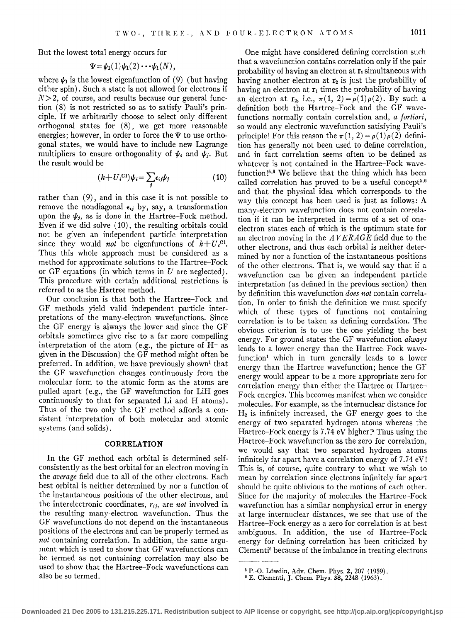But the lowest total energy occurs for

$$
\Psi = \psi_1(1)\psi_1(2)\cdots\psi_1(N),
$$

where  $\psi_1$  is the lowest eigenfunction of (9) (but having either spin). Such a state is not allowed for electrons if  $N>$  2, of course, and results because our general function (8) is not restricted so as to satisfy Pauli's principle. If we arbitrarily choose to select only different orthogonal states for  $(8)$ , we get more reasonable energies; however, in order to force the  $\Psi$  to use orthogonal states, we would have to include new Lagrange multipliers to ensure orthogonality of  $\psi_i$  and  $\psi_j$ . But the result would be

$$
(h+U_i^{(1)})\psi_i = \sum_j \epsilon_{ij}\psi_j \tag{10}
$$

rather than (9), and in this case it is not possible to remove the nondiagonal  $\epsilon_{ij}$  by, say, a transformation upon the  $\psi_j$ , as is done in the Hartree-Fock method. Even if we did solve ( 10), the resulting orbitals could not be given an independent particle interpretation since they would *not* be eigenfunctions of  $h+U<sub>i</sub>$ <sup>Cl</sup>. Thus this whole approach must be considered as a method for approximate solutions to the Hartree-Fock or GF equations (in which terms in *U* are neglected). This procedure with certain additional restrictions is referred to as the Hartree method.

Our conclusion is that both the Hartree-Fock and GF methods yield valid independent particle interpretations of the many-electron wavefunctions. Since the GF energy is always the lower and since the GF orbitals sometimes give rise to a far more compelling interpretation of the atom (e.g., the picture of  $H^-$  as given in the Discussion) the GF method might often be preferred. In addition, we have previously shown<sup>1</sup> that the GF wavefunction changes continuously from the molecular form to the atomic form as the atoms are pulled apart (e.g., the GF wavefunction for LiH goes continuously to that for separated Li and H atoms). Thus of the two only the GF method affords a consistent interpretation of both molecular and atomic systems (and solids).

## **CORRELATION**

In the GF method each orbital is determined selfconsistently as the best orbital for an electron moving in the *average* field due to all of the other electrons. Each best orbital is neither determined by nor a function of the instantaneous positions of the other electrons, and the interelectronic coordinates, r;j, are *not* involved in the resulting many-electron wavefunction. Thus the GF wavefunctions do not depend on the instantaneous positions of the electrons and can be properly termed as *not* containing correlation. In addition, the same argument which is used to show that GF wavefunctions can be termed as not containing correlation may also be used to show that the Hartree-Fock wavefunctions can also be so termed.

One might have considered defining correlation such that a wavefunction contains correlation only if the pair probability of having an electron at  $\mathbf{r}_1$  simultaneous with having another electron at  $r_2$  is just the probability of having an electron at  $r_1$  times the probability of having an electron at  $\mathbf{r}_2$ , i.e.,  $\pi(1, 2) = \rho(1)\rho(2)$ . By such a definition both the Hartree-Fock and the GF wavefunctions normally contain correlation and, *a fortiori,*  so would any electronic wavefunction satisfying Pauli's principle! For this reason the  $\pi(1, 2) = \rho(1)\rho(2)$  definition has generally not been used to define correlation, and in fact correlation seems often to be defined as whatever is not contained in the Hartree-Fock wavefunction<sup> $5,6$ </sup> We believe that the thing which has been called correlation has proved to be a useful concept<sup>5,6</sup> and that the physical idea which corresponds to the way this concept has been used is just as follows: A many-electron wavefunction does not contain correlation if it can be interpreted in terms of a set of oneelectron states each of which is the optimum state for an electron moving in the  $AVERAGE$  field due to the other electrons, and thus each orbital is neither determined by nor a function of the instantaneous positions of the other electrons. That is, we would say that if a wavefunction can be given an independent particle interpretation (as defined in the previous section) then by definition this wavefunction *does not* contain correlation. In order to finish the definition we must specify which of these types of functions not containing correlation is to be taken as defining correlation. The obvious criterion is to use the one yielding the best energy. For ground states the GF wavefunction *always*  leads to a lower energy than the Hartree-Fock wavefunction<sup>1</sup> which in turn generally leads to a lower energy than the Hartree wavefunction; hence the GF energy would appear to be a more appropriate zero for correlation energy than either the Hartree or Hartree-Fock energies. This becomes manifest when we consider molecules. For example, as the internuclear distance for  $H<sub>2</sub>$  is infinitely increased, the GF energy goes to the energy of two separated hydrogen atoms whereas the Hartree–Fock energy is  $7.74$  eV higher!<sup>5</sup> Thus using the Hartree-Fock wavefunction as the zero for correlation, we would say that two separated hydrogen atoms infinitely far apart have a correlation energy of 7.74 eV! This is, of course, quite contrary to what we wish to mean by correlation since electrons infinitely far apart should be quite oblivious to the motions of each other. Since for the majority of molecules the Hartree-Fock wavefunction has a similar nonphysical error in energy at large internuclear distances, we see that use of the Hartree-Fock energy as a zero for correlation is at best ambiguous. In addition, the use of Hartree-Fock energy for defining correlation has been criticized by Clementi6 because of the imbalance in treating electrons

<sup>&</sup>lt;sup>5</sup> P.-O. Löwdin, Adv. Chem. Phys. **2,** 207 (1959). <sup>6</sup> E. Clementi, J. Chem. Phys. **38,** 2248 (1963).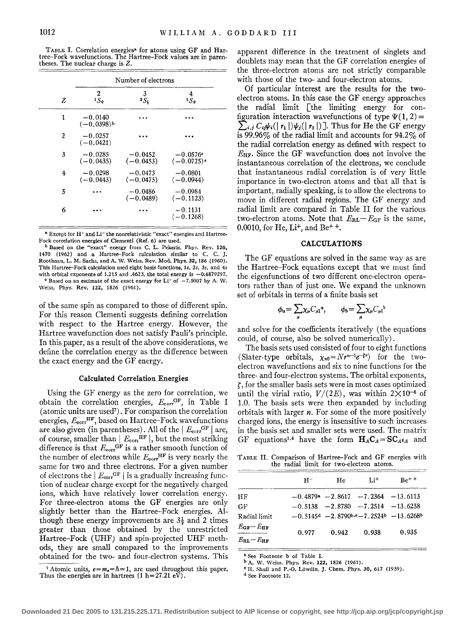TABLE I. Correlation energies• for atoms using GF and Hartree-Fock wavefunctions. The Hartree-Fock values are in parentheses. The nuclear charge is Z.

|                | Number of electrons                   |                          |                                       |  |  |  |  |  |
|----------------|---------------------------------------|--------------------------|---------------------------------------|--|--|--|--|--|
| Z              | 2<br>$1S_0$                           | 3<br>2S <sub>k</sub>     | $1\frac{4}{5}$                        |  |  |  |  |  |
| 1              | $-0.0140$<br>$(-0.0398)$ <sup>b</sup> |                          |                                       |  |  |  |  |  |
| $\overline{c}$ | $-0.0257$<br>$(-0.0421)$              |                          |                                       |  |  |  |  |  |
| 3              | $-0.0285$<br>$(-0.0435)$              | $-0.0452$<br>$(-0.0453)$ | $-0.0576$ <sup>o</sup><br>$(-0.0725)$ |  |  |  |  |  |
| 4              | $-0.0298$<br>$(-0.0443)$              | $-0.0473$<br>$(-0.0475)$ | $-0.0801$<br>$(-0.0944)$              |  |  |  |  |  |
| 5              |                                       | $-0.0486$<br>$(-0.0489)$ | $-0.0984$<br>$(-0.1123)$              |  |  |  |  |  |
| 6              |                                       |                          | $-0.1131$<br>$(-0.1268)$              |  |  |  |  |  |

<sup>a</sup> Except for H<sup>-</sup> and Li<sup>-</sup> the nonrelativistic "exact" energies and Hartree-Fock correlation energies of Clementi (Ref. 6) are used.

b Based on the "exact" energy from C. L. Pekeris. Phys. Rev. 126, 1470 (1962) and a Hartree-Fock calculation similar to C. C. J, Roothaan, L. M. Sachs, and A. W. Weiss, Rev. Mod. Phys. 32, 186 (1960). This Hartree-Fock calculation used eight basis functions, *Is, 2s, 3s,* and 4s with orbital exponents of 1.215 and .4623, the total energy is  $-0.4879297$ . <sup>e</sup> Based on an estimate of the exact energy for Li<sup>-</sup> of  $-7.5007$  by A. W.

Weiss, Phys. Rev. 122, 1826 (1961),

of the same spin as compared to those of different spin. For this reason Clementi suggests defining correlation with respect to the Hartree energy. However, the Hartree wavefunction does not satisfy Pauli's principle. In this paper, as a result of the above considerations, we define the correlation energy as the difference between the exact energy and the GF energy.

## Calculated Correlation Energies

Using the GF energy as the zero for correlation, we obtain the correlation energies,  $E_{\text{corr}}$ GF, in Table I (atomic units are used7). For comparison the correlation energies,  $E_{\text{corr}}^{\text{HF}}$ , based on Hartree-Fock wavefunctions are also given (in parentheses). All of the  $|E_{\text{corr}}^{\text{GF}}|$  are, of course, smaller than  $|E_{\text{corr}}^{\text{HF}}|$ , but the most striking difference is that  $E_{\text{corr}}^{\text{GF}}$  is a rather smooth function of the number of electrons while  $E_{\text{corr}}^{\text{HF}}$  is very nearly the same for two and three electrons. For a given number of electrons the  $|E_{\text{corr}}^{\text{GF}}|$  is a gradually increasing function of nuclear charge except for the negatively charged ions, which have relatively lower correlation energy. For three-electron atoms the GF energies are only slightly better than the Hartree-Fock energies. Although these energy improvements are  $3\frac{1}{2}$  and 2 times greater than those obtained by the unrestricted Hartree-Fock (UHF) and spin-projected UHF methods, they are small compared to the improvements obtained for the two- and four-electron systems. This

<sup>7</sup> Atomic units,  $e = m_e = \hbar = 1$ , are used throughout this paper.<br>Thus the energies are in hartrees (1 h=27.21 eV).

apparent difference in the treatment of singlets and doublets may mean that the GF correlation energies of the three-electron atoms are not strictly comparable with those of the two- and four-electron atoms.

Of particular interest are the results for the twoelectron atoms. In this case the GF energy approaches the radial limit [the limiting energy for con figuration interaction wavefunctions of type  $\Psi(1, 2) =$  $\sum_{i,j} C_{i,j} \psi_i(|r_1|) \psi_i(|r_2|)$ . Thus for He the GF energy is 99.96 $\%$  of the radial limit and accounts for 94.2 $\%$  of the radial correlation energy as defined with respect to  $E_{HF}$ . Since the GF wavefunction does not involve the instantaneous correlation of the electrons, we conclude that instantaneous radial correlation is of very little importance in two-electron atoms and that all that is important, radially speaking, is to allow the electrons to move in different radial regions. The GF energy and radial limit are compared in Table II for the various two-electron atoms. Note that  $E_{RL}-E_{GF}$  is the same, 0.0010, for He,  $Li^{+}$ , and Be<sup>++</sup>.

## CALCULATIONS

The GF equations are solved in the same way as are the Hartree-Fock equations except that we must find the eigenfunctions of two different one-electron operators rather than of just one. We expand the unknown set of orbitals in terms of a finite basis set

$$
\phi_a = \sum_{\mu} \chi_{\mu} C_{\mu 1}{}^a, \qquad \phi_b = \sum_{\mu} \chi_{\mu} C_{\mu 1}{}^b
$$

and solve for the coefficients iteratively (the equations could, of course, also be solved numerically).

The basis sets used consisted of four to eight functions (Slater-type orbitals,  $\chi_{n0} = Nr^{n-1}e^{-\zeta r}$ ) for the twoelectron wavefunctions and six to nine functions for the three- and four-electron systems. The orbital exponents,  $\zeta$ , for the smaller basis sets were in most cases optimized until the virial ratio,  $V/(2E)$ , was within  $2\times10^{-6}$  of 1.0. The basis sets were then expanded by including orbitals with larger *n.* For some of the more positively charged ions, the energy is insensitive to such increases in the basis set and smaller sets were used. The matrix GF equations<sup>1,4</sup> have the form  $H_A C_A = SC_{A} \epsilon_A$  and

TABLE II. Comparison of Hartree-Fock and GF energies with the radial limit for two-electron atoms.

|                               | н-    | He    | $Li+$                                                 | $Be^{+ +}$ |
|-------------------------------|-------|-------|-------------------------------------------------------|------------|
| НF                            |       |       | $-0.4879$ <sup>a</sup> $-2.8617$ $-7.2364$ $-13.6113$ |            |
| GF                            |       |       | $-0.5138$ $-2.8780$ $-7.2514$ $-13.6258$              |            |
| Radial limit                  |       |       | $-0.5145d - 2.8790b,o - 7.2524b - 13.6268b$           |            |
| $E_{\text{GF}}-E_{\text{HF}}$ | 0.977 | 0.942 | 0.938                                                 | 0.935      |
| $E_{\rm BL}-E_{\rm HF}$       |       |       |                                                       |            |

• See Footnote b of Table I.

d See Footnote 12.

b A. W. Weiss, Phys. Rev. 122, 1826 (1961).

<sup>•</sup> H. Shull and P.-O. Lowdin, J. Chern. Phys. 30, 617 (1959).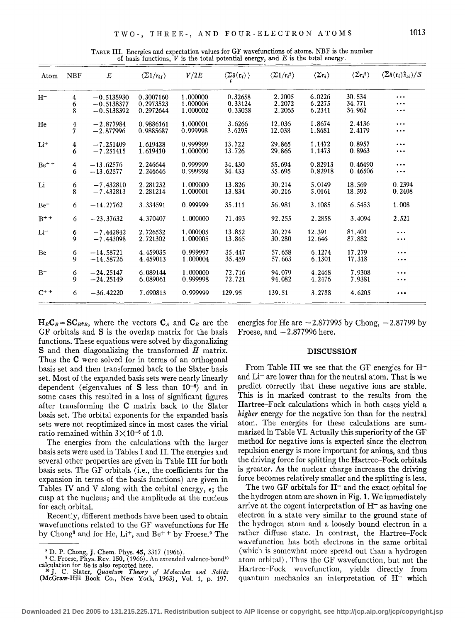TABLE III. Energies and expectation values for GF wavefunctions of atoms. NBF is the number of basis functions, *V* is the total potential energy, and *E* is the total energy.

| Atom            | <b>NBF</b>                                     | $E_{\rm}$                  | $\langle \Sigma 1/r_{ij} \rangle$ | V/2E                 | $\langle \Sigma \delta(\mathbf{r}_i) \rangle$ | $\langle \Sigma 1/r_i^2 \rangle$ | $\langle \Sigma r_i \rangle$ | $\langle \Sigma r_i^2 \rangle$ | $\langle \Sigma \delta(\mathbf{r}_i) \hat{s}_{zi} \rangle / S$ |
|-----------------|------------------------------------------------|----------------------------|-----------------------------------|----------------------|-----------------------------------------------|----------------------------------|------------------------------|--------------------------------|----------------------------------------------------------------|
| $H^-$           | 4                                              | $-0.5135930$               | 0.3007160                         | 1.000000             | 0.32658                                       | 2.2005                           | 6.0226                       | 30.534                         | $\cdots$                                                       |
|                 | 6                                              | $-0.5138377$               | 0.2973523                         | 1.000006             | 0.33124                                       | 2.2072                           | 6.2275                       | 34.771                         | $\cdots$                                                       |
|                 | 8                                              | $-0.5138392$               | 0.2972644                         | 1.000002             | 0.33058                                       | 2.2065                           | 6.2341                       | 34.962                         | $\cdots$                                                       |
| He              | $\frac{4}{7}$                                  | $-2.877984$<br>$-2.877996$ | 0.9886161<br>0.9885687            | 1.000001<br>0.999998 | 3.6266<br>3.6295                              | 12.036<br>12.038                 | 1.8674<br>1.8681             | 2.4136<br>2.4179               | $\cdots$<br>$\cdots$                                           |
| $Li+$           | 4                                              | $-7.251409$                | 1.619428                          | 0.999999             | 13.722                                        | 29.865                           | 1.1472                       | 0.8957                         | $\cdots$                                                       |
|                 | 6                                              | $-7.251415$                | 1.619410                          | 1.000000             | 13.726                                        | 29.866                           | 1.1473                       | 0.8963                         | $\cdots$                                                       |
| $Be^{++}$       | 4                                              | $-13.62576$                | 2.246644                          | 0.999999             | 34.430                                        | 55.694                           | 0.82913                      | 0.46490                        | $\cdots$                                                       |
|                 | 6                                              | $-13.62577$                | 2.246646                          | 0.999998             | 34.433                                        | 55.695                           | 0.82918                      | 0.46506                        | $\cdots$                                                       |
| Li              | $\begin{smallmatrix} 6 \\ 8 \end{smallmatrix}$ | $-7.432810$<br>$-7.432813$ | 2.281232<br>2.281214              | 1.000000<br>1.000001 | 13.826<br>13.834                              | 30.214<br>30.216                 | 5.0149<br>5.0161             | 18.569<br>18.592               | 0.2394<br>0.2408                                               |
| $Be+$           | 6                                              | $-14.27762$                | 3.334591                          | 0.999999             | 35.111                                        | 56.981                           | 3.1085                       | 6.5453                         | 1.008                                                          |
| $R^{++}$        | 6                                              | $-23.37632$                | 4.370407                          | 1.000000             | 71.493                                        | 92.255                           | 2.2858                       | 3.4094                         | 2.521                                                          |
| Li <sup>-</sup> | 6                                              | $-7.442842$                | 2.726532                          | 1.000005             | 13.852                                        | 30.274                           | 12.391                       | 81.401                         | .                                                              |
|                 | 9                                              | $-7.443098$                | 2.721302                          | 1.000005             | 13.865                                        | 30.280                           | 12.646                       | 87.882                         | $\cdots$                                                       |
| Be              | 6                                              | $-14.58721$                | 4.459035                          | 0.999997             | 35.447                                        | 57.658                           | 6.1274                       | 17.279                         | $\cdots$                                                       |
|                 | 9                                              | $-14.58726$                | 4.459013                          | 1.000004             | 35.459                                        | 57.663                           | 6.1301                       | 17.318                         | $\cdots$                                                       |
| $R+$            | 6                                              | $-24.25147$                | 6.089144                          | 1.000000             | 72.716                                        | 94.079                           | 4.2468                       | 7.9308                         | $\cdots$                                                       |
|                 | 9                                              | $-24.25149$                | 6.089061                          | 0.999998             | 72.721                                        | 94.082                           | 4.2476                       | 7.9381                         |                                                                |
| $C^{++}$        | 6                                              | $-36.42220$                | 7.690813                          | 0.999999             | 129.95                                        | 139.51                           | 3.2788                       | 4.6205                         | $\cdots$                                                       |

 $H_B C_B = SC_{B} \epsilon_B$ , where the vectors  $C_A$  and  $C_B$  are the GF orbitals and S is the overlap matrix for the basis functions. These equations were solved by diagonalizing S and then diagonalizing the transformed *H* matrix. Thus the **C** were solved for in terms of an orthogonal basis set and then transformed back to the Slater basis set. Most of the expanded basis sets were nearly linearly dependent (eigenvalues of S less than  $10^{-6}$ ) and in some cases this resulted in a loss of significant figures after transforming the **C** matrix back to the Slater basis set. The orbital exponents for the expanded basis sets were not reoptimized since in most cases the virial ratio remained within  $3\times10^{-6}$  of 1.0.

The energies from the calculations with the larger basis sets were used in Tables I and II. The energies and several other properties are given in Table III for both basis sets. The GF orbitals (i.e., the coefficients for the expansion in terms of the basis functions) are given in Tables IV and V along with the orbital energy,  $\epsilon$ ; the cusp at the nucleus; and the amplitude at the nucleus for each orbital.

Recently, different methods have been used to obtain wavefunctions related to the GF wavefunctions for He by Chong<sup>8</sup> and for He,  $Li^{+}$ , and  $Be^{+}$  + by Froese.<sup>9</sup> The energies for He are  $-2.877995$  by Chong,  $-2.87799$  by Froese, and  $-2.877996$  here.

#### **DISCUSSION**

From Table III we see that the GF energies for **H**and Li<sup>-</sup> are lower than for the neutral atom. That is we predict correctly that these negative ions are stable. This is in marked contrast to the results from the Hartree-Fock calculations which in both cases yield a *higher* energy for the negative ion than for the neutral atom. The energies for these calculations are summarized in Table VI. Actually this superiority of the GF method for negative ions is expected since the electron repulsion energy is more important for anions, and thus the driving force for splitting the Hartree-Fock orbitals is greater. As the nuclear charge increases the driving force becomes relatively smaller and the splitting is less.

The two GF orbitals for **H-** and the exact orbital for the hydrogen atom are shown in Fig. **1.** We immediately arrive at the cogent interpretation of  $H^-$  as having one electron in a state very similar to the ground state of the hydrogen atom and a loosely bound electron in a rather diffuse state. In contrast, the Hartree-Fock wavefunction has both electrons in the same orbital (which is somewhat more spread out than a hydrogen atom orbital). Thus the GF wavefunction, but not the Hartree-Fock wavefunction, yields directly from quantum mechanics an interpretation of  $H^-$  which

<sup>8</sup> D. P. Chong, J. Chem. Phys. 45, 3317 (1966).<br><sup>9</sup> C. Froese, Phys. Rev. 150, (1966). An extended valence-bond<sup>10</sup>

calculation for Be is also reported here. 10 J. C. Slater, *Quantum Theory of Molecules and Solids*  (McGraw-Hill Book Co., New York, 1963), Vol. 1, p. 197.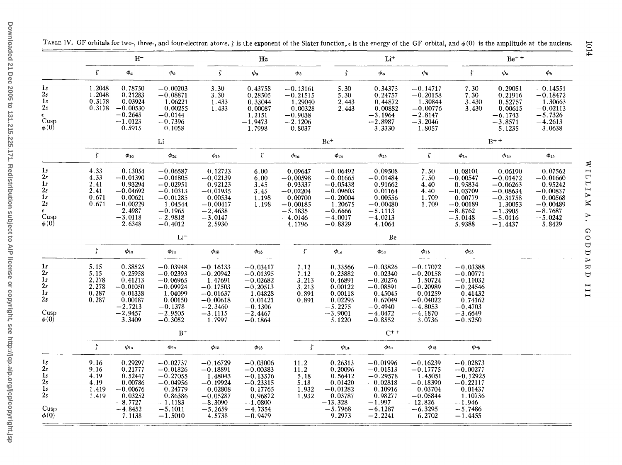|                                                                               |                                                         | $H^-$                                                                                                                                |                                                                                                                                                  |                                                                                                                   | He                                                                                                                |                                                                                                             |                                                                                                                      | $\rm Li^+$                                                                                                        |                                                                                                                |                                                                                                                   | $Be+$                                                                                                                |                                                                                                             |
|-------------------------------------------------------------------------------|---------------------------------------------------------|--------------------------------------------------------------------------------------------------------------------------------------|--------------------------------------------------------------------------------------------------------------------------------------------------|-------------------------------------------------------------------------------------------------------------------|-------------------------------------------------------------------------------------------------------------------|-------------------------------------------------------------------------------------------------------------|----------------------------------------------------------------------------------------------------------------------|-------------------------------------------------------------------------------------------------------------------|----------------------------------------------------------------------------------------------------------------|-------------------------------------------------------------------------------------------------------------------|----------------------------------------------------------------------------------------------------------------------|-------------------------------------------------------------------------------------------------------------|
|                                                                               | $\zeta$                                                 | $\phi_a$                                                                                                                             | $\phi_b$                                                                                                                                         | $\zeta$                                                                                                           | $\phi_a$                                                                                                          | $\phi_b$                                                                                                    | $\zeta$                                                                                                              | $\phi_a$                                                                                                          | $\phi_b$                                                                                                       | $\zeta$                                                                                                           | $\phi_a$                                                                                                             | $\phi_b$                                                                                                    |
| 1s<br>2s<br>1 <sub>s</sub><br>2s<br>$\epsilon$<br>Cusp<br>$\phi(0)$           | 1.2048<br>1.2048<br>0.3178<br>0.3178                    | 0.78750<br>0.21283<br>0.03924<br>$-0.00530$<br>$-0.2645$<br>$-1.0123$<br>0.5915                                                      | $-0.00203$<br>$-0.08871$<br>1.06221<br>0.00255<br>$-0.0144$<br>$-0.7396$<br>0.1058                                                               | 3.30<br>3.30<br>1.433<br>1.433                                                                                    | 0.43758<br>0.28505<br>0.33044<br>0.00087<br>1.2151<br>$-1.9473$<br>1.7998                                         | $-0.13161$<br>$-0.21515$<br>1.29040<br>0.00328<br>$-0.9038$<br>$-2.1206$<br>0.8037                          | 5.30<br>5.30<br>2.443<br>2.443                                                                                       | 0.34375<br>0.24757<br>0.44872<br>0.00882<br>$-3.1964$<br>$-2.8987$<br>3.3330                                      | $-0.14717$<br>$-0.20158$<br>1.30844<br>$-0.00776$<br>$-2.8147$<br>$-\overline{3}.2046$<br>1.8057               | 7.30<br>7.30<br>3.430<br>3.430                                                                                    | 0.29051<br>0.21916<br>0.52757<br>0.00615<br>$-6.1743$<br>$-3.8571$<br>5.1235                                         | $-0.14551$<br>$-0.18472$<br>1.30663<br>$-0.02113$<br>$-5.7326$<br>$-4.2613$<br>3.0638                       |
|                                                                               |                                                         |                                                                                                                                      | Li                                                                                                                                               |                                                                                                                   |                                                                                                                   |                                                                                                             | $Be+$                                                                                                                |                                                                                                                   |                                                                                                                |                                                                                                                   | $B^{+ +}$                                                                                                            |                                                                                                             |
|                                                                               | $\zeta$                                                 | $\phi_{1a}$                                                                                                                          | $\phi_{2a}$                                                                                                                                      | $\phi_{1b}$                                                                                                       | $\zeta$                                                                                                           | $\phi_{1a}$                                                                                                 | $\phi_{2a}$                                                                                                          | $\phi_{1b}$                                                                                                       | $\zeta$                                                                                                        | $\phi_{1a}$                                                                                                       | $\phi_{2a}$                                                                                                          | $\phi_{1b}$                                                                                                 |
| 1s<br>2s<br>1s<br>2s<br>1s<br>2s<br>$\epsilon$<br>Cusp<br>$\phi(0)$           | 4.33<br>4.33<br>2.41<br>2.41<br>0.671<br>0.671          | 0.13054<br>$-0.01390$<br>$0.93294$<br>-0.04692<br>0.00621<br>$-0.00229$<br>$-2.4987$<br>$-3.0118$<br>2.6348                          | $-0.06587$<br>$-0.01805$<br>$-0.02951$<br>-0.10313<br>$-0.01285$<br>1.04544<br>$-0.1965$<br>$-2.9818$<br>$-0.4012$                               | 0.12723<br>$-0.02139$<br>$0.92123$<br>-0.01935<br>0.00534<br>$-0.00417$<br>$-2.4638$<br>$-3.0147$<br>2.5930       | 6.00<br>6.00<br>3.45<br>3.45<br>1.198<br>1.198                                                                    | 0.09647<br>$-0.00598$<br>$0.93337$<br>-0.02204<br>0.00700<br>$-0.00185$<br>$-5.1835$<br>$-4.0146$<br>4.1796 | $-0.06492$<br>$-0.01665$<br>$-0.05438$<br>$-0.09603$<br>$-0.20004$<br>1.20675<br>$-0.6666$<br>$-4.0017$<br>$-0.8829$ | 0.09508<br>$-0.01484$<br>$0.91662$<br>0.01164<br>0.00556<br>$-0.00480$<br>$-5.1113$<br>$-4.0213$<br>4.1064        | 7.50<br>7.50<br>$4.\overline{40}$<br>4.40<br>1.709<br>1.709                                                    | 0.08101<br>$-0.00547$<br>$0.95834$<br>-0.03709<br>0.00779<br>$-0.00189$<br>$-8.8762$<br>$-5.0148$<br>5.9388       | $-0.06190$<br>$-0.01472$<br>$-0.06263$<br>$-0.08634$<br>$-0.31758$<br>1.30053<br>$-1.3905$<br>$-5.0116$<br>$-1.4437$ | 0.07562<br>$-0.01660$<br>0.95242<br>$-0.00837$<br>0.00568<br>$-0.00489$<br>$-8.7687$<br>$-5.0242$<br>5.8429 |
|                                                                               |                                                         |                                                                                                                                      | Li <sup>-</sup>                                                                                                                                  |                                                                                                                   |                                                                                                                   |                                                                                                             |                                                                                                                      | Be                                                                                                                |                                                                                                                |                                                                                                                   |                                                                                                                      |                                                                                                             |
|                                                                               | $\zeta$                                                 | $\phi_{1a}$                                                                                                                          | $\phi_{2a}$                                                                                                                                      | $\phi_{1b}$                                                                                                       | $\phi_{2b}$                                                                                                       | $\zeta$                                                                                                     | $\phi_{1a}$                                                                                                          | $\phi_{2a}$                                                                                                       | $\phi_{1b}$                                                                                                    | $\phi_{2b}$                                                                                                       |                                                                                                                      |                                                                                                             |
| 1 <sub>s</sub><br>2s<br>1 <sub>s</sub><br>2s<br>1s<br>2s<br>Cusp<br>$\phi(0)$ | 5.15<br>5.15<br>2.278<br>$\frac{2.278}{0.287}$<br>0.287 | 0.38525<br>0.25958<br>0.41213<br>$-0.01050$<br>0.01338<br>0.00187<br>$-2.7213$<br>$-2.9457$<br>3.3409                                | $-0.03948$<br>$-0.02393$<br>$-0.06965$<br>$-0.09924$<br>1.04099<br>0.00150<br>$-0.1378$<br>$-2.9505$<br>$-0.3052$                                | $-0.16133$<br>$-0.20942$<br>$1.47691$<br>-0.17503<br>$-0.01637$<br>$-0.00618$<br>$-2.3460$<br>$-3.1115$<br>1.7997 | $-0.03417$<br>$-0.01395$<br>$-0.02682$<br>$-0.20513$<br>1.04828<br>0.01421<br>$-0.1306$<br>$-2.4467$<br>$-0.1864$ | 7.12<br>7.12<br>3.213<br>3.213<br>0.891<br>0.891                                                            | 0.33566<br>0.23882<br>0.46891<br>0.00122<br>0.00118<br>0.02295<br>$-5.2275$<br>$-3.9001$<br>5.1220                   | $-0.03826$<br>$-0.02340$<br>$-0.20276$<br>$-0.08591$<br>0.45045<br>0.67049<br>$-0.4940$<br>$-4.0472$<br>$-0.8552$ | $-0.17072$<br>$-0.20158$<br>1.50724<br>$-0.20989$<br>0.01259<br>$-0.04022$<br>$-4.8053$<br>$-4.1870$<br>3.0736 | $-0.03388$<br>$-0.00771$<br>$-0.11032$<br>$-0.24546$<br>0.41432<br>0.74162<br>$-0.4703$<br>$-3.6649$<br>$-0.5250$ |                                                                                                                      |                                                                                                             |
|                                                                               |                                                         |                                                                                                                                      | $B+$                                                                                                                                             |                                                                                                                   |                                                                                                                   |                                                                                                             |                                                                                                                      | $C^{++}$                                                                                                          |                                                                                                                |                                                                                                                   |                                                                                                                      |                                                                                                             |
|                                                                               | $\zeta$                                                 | $\phi_{1a}$                                                                                                                          | $\phi_{2a}$                                                                                                                                      | $\phi_{1b}$                                                                                                       | $\phi_{2b}$                                                                                                       | $\zeta$                                                                                                     | $\phi_{1a}$                                                                                                          | $\phi_{2a}$                                                                                                       | $\phi_{1b}$                                                                                                    | $\phi_{2b}$                                                                                                       |                                                                                                                      |                                                                                                             |
| 1s<br>2s<br>1 <sub>s</sub><br>2s<br>1s<br>2 <sub>s</sub><br>Cusp<br>$\phi(0)$ | 9.16<br>9.16<br>4.19<br>4.19<br>1.419<br>1.419          | $\begin{array}{c} 0.29297 \\ 0.21777 \\ 0.52447 \end{array}$<br>0.00786<br>$-0.00676$<br>0.03252<br>$-8.7727$<br>$-4.8452$<br>7.1138 | $-0.02737$<br>$-0.01826$<br>$-0.27055$<br>$-0.04956$<br>$\begin{array}{c} 0.24779 \\ 0.86386 \end{array}$<br>$-1.1183$<br>$-5.1011$<br>$-1.5010$ | $-0.16729$<br>$-0.18891$<br>1.48043<br>$-0.19924$<br>$0.02808$<br>-0.05287<br>$-8.3090$<br>$-5.2659$<br>4.5738    | $-0.03006$<br>$-0.00383$<br>$-0.13376$<br>$-0.23315$<br>0.17765<br>0.96872<br>$-1.0800$<br>$-4.7354$<br>$-0.9479$ | 11.2<br>$\frac{11.2}{5.18}$<br>5.18<br>$\frac{1.932}{1.932}$                                                | 0.26313<br>0.20096<br>0.56412<br>0.01420<br>$-0.01282$<br>0.03787<br>$-13.328$<br>$-5.7968$<br>9.2973                | $-0.01996$<br>$-0.01513$<br>$-0.29578$<br>$-0.02818$<br>0.10916<br>0.98277<br>$-1.997$<br>$-6.1287$<br>$-2.2241$  | $-0.16239$<br>$-0.17775$<br>1.45051<br>$-0.18390$<br>$0.03704$<br>-0.05844<br>$-12.826$<br>$-6.3295$<br>6.2702 | $-0.02873$<br>$-0.00277$<br>$-0.12925$<br>$-0.22117$<br>0.01437<br>1.10736<br>$-1.946$<br>$-5.7486$<br>$-1.4455$  |                                                                                                                      |                                                                                                             |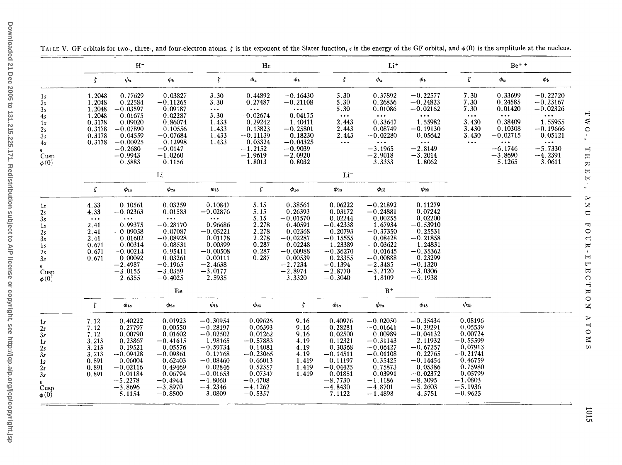|                                                                                                   |                                                                                                  | $H^-$                                                                                                                                                              |                                                                                                                                               |                                                                                                                                                       | He                                                                                                                                           |                                                                                                                                              |                                                                                                                                               | $Li+$                                                                                                                                                 |                                                                                                                                                       |                                                                                                                                              | $Be^{+ +}$                                                        |                                                    |
|---------------------------------------------------------------------------------------------------|--------------------------------------------------------------------------------------------------|--------------------------------------------------------------------------------------------------------------------------------------------------------------------|-----------------------------------------------------------------------------------------------------------------------------------------------|-------------------------------------------------------------------------------------------------------------------------------------------------------|----------------------------------------------------------------------------------------------------------------------------------------------|----------------------------------------------------------------------------------------------------------------------------------------------|-----------------------------------------------------------------------------------------------------------------------------------------------|-------------------------------------------------------------------------------------------------------------------------------------------------------|-------------------------------------------------------------------------------------------------------------------------------------------------------|----------------------------------------------------------------------------------------------------------------------------------------------|-------------------------------------------------------------------|----------------------------------------------------|
|                                                                                                   | $\zeta$                                                                                          | $\phi_a$                                                                                                                                                           | $\phi_b$                                                                                                                                      | $\zeta$                                                                                                                                               | $\phi_a$                                                                                                                                     | $\phi_b$                                                                                                                                     | $\zeta$                                                                                                                                       | $\phi_a$                                                                                                                                              | $\phi_b$                                                                                                                                              | $\zeta$                                                                                                                                      | $\phi_a$                                                          | $\boldsymbol{\phi_{b}}$                            |
| $\mathbf{1}s$<br>2s<br>3s<br>4s                                                                   | 1.2048<br>1.2048<br>1.2048<br>1.2048                                                             | 0.77629<br>0.22584<br>$-0.03597$<br>0.01675                                                                                                                        | 0.03827<br>$-0.11265$<br>0.09187<br>0.02287                                                                                                   | 3.30<br>3.30<br>$\bullet$ $\bullet$ $\bullet$ .<br>3.30                                                                                               | 0.44892<br>0.27487<br>$\bullet$ $\bullet$ $\bullet$<br>$-0.02674$                                                                            | $-0.16430$<br>$-0.21108$<br>$\bullet$ $\bullet$ $\bullet$<br>0.04175                                                                         | 5.30<br>5.30<br>5.30<br>$\bullet$ $\bullet$ $\bullet$                                                                                         | 0.37892<br>0.26856<br>0.01086<br>$\bullet$ $\bullet$ $\bullet$                                                                                        | $-0.22577$<br>$-0.24823$<br>$-0.02162$<br>$\bullet$ $\bullet$ $\bullet$                                                                               | 7.30<br>7.30<br>7.30<br>$\bullet$ $\bullet$ $\bullet$                                                                                        | 0.33699<br>0.24585<br>0.01420<br>$\ldots$                         | $-0.22720$<br>$-0.23167$<br>$-0.02326$<br>$\cdots$ |
| 1 <sub>s</sub><br>2s<br>3s<br>4s                                                                  | 0.3178<br>0.3178<br>0.3178<br>0.3178                                                             | 0.09020<br>$-0.07890$<br>0.04559<br>$-0.00925$                                                                                                                     | 0.86074<br>0.10556<br>$-0.07684$<br>0.12998                                                                                                   | 1.433<br>1.433<br>1.433<br>1.433                                                                                                                      | 0.29242<br>0.13823<br>$-0.11139$<br>0.03324                                                                                                  | 1.40411<br>$-0.25801$<br>0.18230<br>$-0.04325$                                                                                               | 2.443<br>2.443<br>2.443<br>$\bullet$ $\bullet$ $\bullet$                                                                                      | 0.33647<br>0.08749<br>$-0.02280$<br>$\bullet$ $\bullet$ $\bullet$                                                                                     | 1.55982<br>$-0.19130$<br>0.05642<br>$\bullet$ $\bullet$ $\bullet$                                                                                     | 3.430<br>3.430<br>3.430<br>$\cdots$                                                                                                          | 0.38409<br>0.10308<br>$-0.02715$<br>$\bullet$ $\bullet$ $\bullet$ | 1.55955<br>$-0.19666$<br>0.05121<br>$\cdots$       |
| $\epsilon$<br>Cusp<br>$\phi(0)$                                                                   |                                                                                                  | $-0.2680$<br>$-0.9943$<br>0.5883                                                                                                                                   | $-0.0147$<br>$-1.0260$<br>0.1156                                                                                                              |                                                                                                                                                       | $-1.2152$<br>$-1.9619$<br>1.8013                                                                                                             | $-0.9039$<br>$-2.0920$<br>0.8032                                                                                                             |                                                                                                                                               | $-3.1965$<br>$-2.9018$<br>3.3333                                                                                                                      | $-2.8149$<br>$-3.2014$<br>1.8062                                                                                                                      |                                                                                                                                              | $-6.1746$<br>$-3.8690$<br>5.1265                                  | $-5.7330$<br>$-4.2391$<br>3.0611                   |
|                                                                                                   |                                                                                                  |                                                                                                                                                                    | Li                                                                                                                                            |                                                                                                                                                       |                                                                                                                                              |                                                                                                                                              | $Li^-$                                                                                                                                        |                                                                                                                                                       |                                                                                                                                                       |                                                                                                                                              |                                                                   |                                                    |
|                                                                                                   | $\zeta$                                                                                          | $\phi_{1a}$                                                                                                                                                        | $\phi_{2a}$                                                                                                                                   | $\phi_{1b}$                                                                                                                                           | $\zeta$                                                                                                                                      | $\phi_{1a}$                                                                                                                                  | $\bm{\phi}_{2a}$                                                                                                                              | $\phi_{1b}$                                                                                                                                           | $\phi_{2b}$                                                                                                                                           |                                                                                                                                              |                                                                   |                                                    |
| 1s<br>2 <sub>s</sub><br>3s<br>1s<br>2s<br>3s<br>1s<br>2s<br>3s<br>$\epsilon$<br>Cusp<br>$\phi(0)$ | 4.33<br>4.33<br>$\bullet$ $\bullet$ $\bullet$<br>2.41<br>2.41<br>2.41<br>0.671<br>0.671<br>0.671 | 0.10561<br>$-0.02363$<br>$\bullet$ $\bullet$ $\bullet$<br>0.99375<br>$-0.09058$<br>0.01602<br>0.00314<br>$-0.00214$<br>0.00092<br>$-2.4987$<br>$-3.0155$<br>2.6355 | 0.03259<br>0.01583<br>$\ldots$<br>$-0.28170$<br>0.07087<br>$-0.08928$<br>0.08531<br>0.95411<br>0.03261<br>$-0.1965$<br>$-3.0359$<br>$-0.4025$ | 0.10847<br>$-0.02876$<br>$\cdots$<br>0.96686<br>$-0.05221$<br>0.01178<br>0.00399<br>$-0.00508$<br>0.00111<br>$-2.4638$<br>$-3.0177$<br>2.5935         | 5.15<br>5.15<br>5.15<br>2.278<br>2.278<br>2.278<br>0.287<br>0.287<br>0.287                                                                   | 0.38561<br>0.26393<br>$-0.01570$<br>0.40591<br>0.02368<br>$-0.02287$<br>0.02248<br>$-0.00988$<br>0.00539<br>$-2.7234$<br>$-2.8974$<br>3.3320 | 0.06222<br>0.03172<br>$0.02244 - 0.42338$<br>0.20793<br>$-0.15555$<br>1.23389<br>$-0.36270$<br>0.23355<br>$-0.1394$<br>$-2.8770$<br>$-0.3040$ | $-0.21892$<br>$-0.24881$<br>$0.00255$<br>1.67934<br>$-0.37350$<br>0.08428<br>$-0.03622$<br>0.01645<br>$-0.00888$<br>$-2.3485$<br>$-3.2120$<br>1.8109  | 0.11279<br>0.07242<br>$0.02200$<br>-0.53910<br>0.25531<br>$-0.21858$<br>1.24831<br>$-0.35362$<br>0.23299<br>$-0.1320$<br>$-3.0306$<br>$-0.1938$       |                                                                                                                                              |                                                                   |                                                    |
|                                                                                                   |                                                                                                  |                                                                                                                                                                    | Be                                                                                                                                            |                                                                                                                                                       |                                                                                                                                              |                                                                                                                                              |                                                                                                                                               | $B+$                                                                                                                                                  |                                                                                                                                                       |                                                                                                                                              |                                                                   |                                                    |
|                                                                                                   | $\zeta$                                                                                          | $\phi_{1a}$                                                                                                                                                        | $\phi_{2a}$                                                                                                                                   | $\phi_{1b}$                                                                                                                                           | $\phi_{2b}$                                                                                                                                  | $\zeta$                                                                                                                                      | $\phi_{1a}$                                                                                                                                   | $\phi_{2a}$                                                                                                                                           | $\phi_{1b}$                                                                                                                                           | $\phi_{2b}$                                                                                                                                  |                                                                   |                                                    |
| 1s<br>2s<br>3s<br>1 <sub>s</sub><br>2s<br>3s<br>1s<br>2s<br>3s<br>Cusp<br>$\phi(0)$               | 7.12<br>7.12<br>7.12<br>3.213<br>3.213<br>3.213<br>0.891<br>0.891<br>0.891                       | 0.40222<br>0.27797<br>0.00790<br>0.23867<br>0.19521<br>$-0.09428$<br>0.06004<br>$-0.02116$<br>0.01184<br>$-5.2278$<br>$-3.8696$<br>5.1154                          | 0.01923<br>0.00550<br>0.01602<br>$-0.41615$<br>0.05576<br>$-0.09861$<br>0.62403<br>0.49469<br>0.06794<br>$-0.4944$<br>$-3.8970$<br>$-0.8500$  | $-0.30954$<br>$-0.28197$<br>$-0.02502$<br>1.98165<br>$-0.59734$<br>0.17768<br>$-0.08460$<br>0.02846<br>$-0.01653$<br>$-4.8060$<br>$-4.2346$<br>3.0809 | 0.09626<br>0.06393<br>0.01262<br>$-0.57883$<br>$0.14081$<br>-0.23065<br>0.66013<br>0.52357<br>0.07347<br>$-0.4708$<br>$-4.1262$<br>$-0.5357$ | 9.16<br>9.16<br>9.16<br>4.19<br>4.19<br>4.19<br>1.419<br>1.419<br>1.419                                                                      | 0.40976<br>0.28281<br>0.02500<br>0.12321<br>0.30368<br>$-0.14511$<br>0.11197<br>$-0.04425$<br>0.01851<br>$-8.7730$<br>$-4.8430$<br>7.1122     | $-0.02050$<br>$-0.01641$<br>0.00989<br>$-0.31143$<br>$-0.06427$<br>$-0.01108$<br>0.35425<br>0.75873<br>0.03991<br>$-1.1186$<br>$-4.8701$<br>$-1.4898$ | $-0.35434$<br>$-0.29291$<br>$-0.04132$<br>2.11932<br>$-0.67257$<br>0.22765<br>$-0.14454$<br>0.05386<br>$-0.02372$<br>$-8.3095$<br>$-5.2603$<br>4.5751 | 0.08196<br>0.05539<br>0.00724<br>$-0.55599$<br>0.07913<br>$-0.21741$<br>0.46759<br>0.75980<br>0.05799<br>$-1.0803$<br>$-5.1936$<br>$-0.9625$ |                                                                   |                                                    |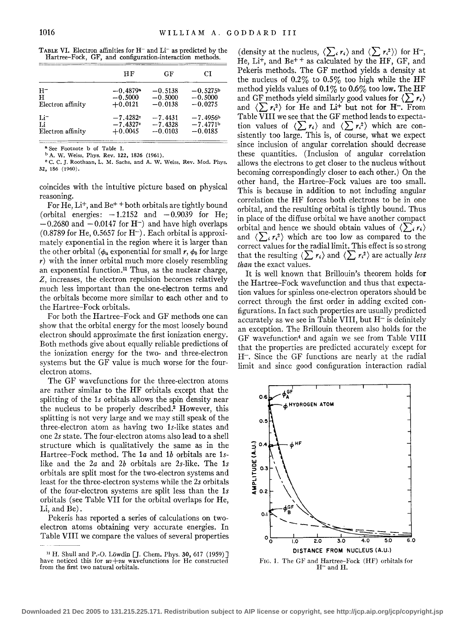| <b>TABLE VI.</b> Electron affinities for $H^-$ and $Li^-$ as predicted by the |  |  |                                                          |  |
|-------------------------------------------------------------------------------|--|--|----------------------------------------------------------|--|
|                                                                               |  |  | Hartree-Fock, GF, and configuration-interaction methods. |  |

|                   | НF                     | GF        | СI         |
|-------------------|------------------------|-----------|------------|
|                   |                        |           |            |
| $H^-$             | $-0.4879$ <sup>a</sup> | $-0.5138$ | $-0.5275b$ |
| H                 | $-0.5000$              | $-0.5000$ | $-0.5000$  |
| Electron affinity | $+0.0121$              | $-0.0138$ | $-0.0275$  |
| $Li^-$            | $-7.4282c$             | $-7.4431$ | $-7.4956b$ |
| Li                | $-7.4327c$             | $-7.4328$ | $-7.4771b$ |
| Electron affinity | $+0.0045$              | $-0.0103$ | $-0.0185$  |

a See Footnote b of Table I.

b A. W. Weiss, Phys. Rev. 122, 1826 (1961).

c C. C.]. Roothaan, L. M. Sachs, and A. W. Weiss, Rev. Mod. Phys. 32, 186 (1960).

coincides with the intuitive picture based on physical reasoning.

For He, Li<sup>+</sup>, and Be<sup>++</sup> both orbitals are tightly bound (orbital energies:  $-1.2152$  and  $-0.9039$  for He;  $-0.2680$  and  $-0.0147$  for H<sup>-</sup>) and have high overlaps  $(0.8789$  for He,  $0.5657$  for H<sup>-</sup>). Each orbital is approximately exponential in the region where it is larger than the other orbital ( $\phi_a$  exponential for small *r*,  $\phi_b$  for large  $r$ ) with the inner orbital much more closely resembling an exponential function. $\mu$  Thus, as the nuclear charge, z, increases, the electron repulsion becomes relatively much less important than the one-electron terms and the orbitals become more similar to each other and to the Hartree-Fock orbitals.

For both the Hartree-Fock and GF methods one can show that the orbital energy for the most loosely bound electron should approximate the first ionization energy. Both methods give about equally reliable predictions of the ionization energy for the two- and three-electron systems but the GF value is much worse for the fourelectron atoms.

The GF wavefunctions for the three-electron atoms are rather similar to the HF orbitals except that the splitting of the ls orbitals allows the spin density near the nucleus to be properly described.2 However, this splitting is not very large and we may still speak of the three-electron atom as having two ls-like states and one *2s* state. The four-electron atoms also lead to a shell structure which is qualitatively the same as in the Hartree-Fock method. The la and 1b orbitals are 1slike and the *2a* and *2b* orbitals are 2s-like. The ls orbitals are split most for the two-electron systems and least for the three-electron systems while the *2s* orbitals of the four-electron systems are split less than the ls orbitals (see Table VII for the orbital overlaps for He, Li, and Be).

Pekeris has reported a series of calculations on twoelectron atoms obtaining very accurate energies. In Table VIII we compare the values of several properties (density at the nucleus,  $\langle \sum_i r_i \rangle$  and  $\langle \sum_i r_i^2 \rangle$ ) for H<sup>-</sup>, He,  $Li<sup>+</sup>$ , and  $Be<sup>+</sup>$  + as calculated by the HF, GF, and Pekeris methods. The GF method yields a density at the nucleus of  $0.2\%$  to  $0.5\%$  too high while the HF method yields values of  $0.1\%$  to  $0.6\%$  too low. The HF and GF methods yield similarly good values for  $\langle \sum r_i \rangle$ and  $\langle \sum r_i^2 \rangle$  for He and Li<sup>+</sup> but not for H<sup>-</sup>. From Table VIII we see that the GF method leads to expectation values of  $\langle \sum r_i \rangle$  and  $\langle \sum r_i^2 \rangle$  which are consistently too large. This is, of course, what we expect since inclusion of angular correlation should decrease these quantities. (Inclusion of angular correlation allows the electrons to get closer to the nucleus without becoming correspondingly closer to each other.) On the other hand, the Hartree-Fock values are too small. This is because in addition to not including angular correlation the HF forces both electrons to be in one orbital, and the resulting orbital is tightly bound. Thus in place of the diffuse orbital we have another compact orbital and hence we should obtain values of  $\langle \sum_i r_i \rangle$ and  $\langle \sum_i r_i^2 \rangle$  which are too low as compared to the correct values for the radial limit. This effect is so strong that the resulting  $\langle \sum r_i \rangle$  and  $\langle \sum r_i^2 \rangle$  are actually *less than* the exact values.

It is well known that Brillouin's theorem holds for the Hartree-Fock wavefunction and thus that expectation values for spinless one-electron operators should be correct through the first order in adding excited configurations. In fact such properties are usually predicted accurately as we see in Table VIII, but  $H^-$  is definitely an exception. The Brillouin theorem also holds for the GF wavefunction4 and again we see from Table VIII that the properties are predicted accurately except for H-. Since the GF functions are nearly at the radial limit and since good configuration interaction radial



<sup>&</sup>lt;sup>11</sup> H. Shull and P.-O. Löwdin <sup>[]</sup>. Chem. Phys. 30, 617 (1959)<sup>]</sup> have noticed this for  $uv+vu$  wavefunctions for He constructed from the first two natural orbitals.